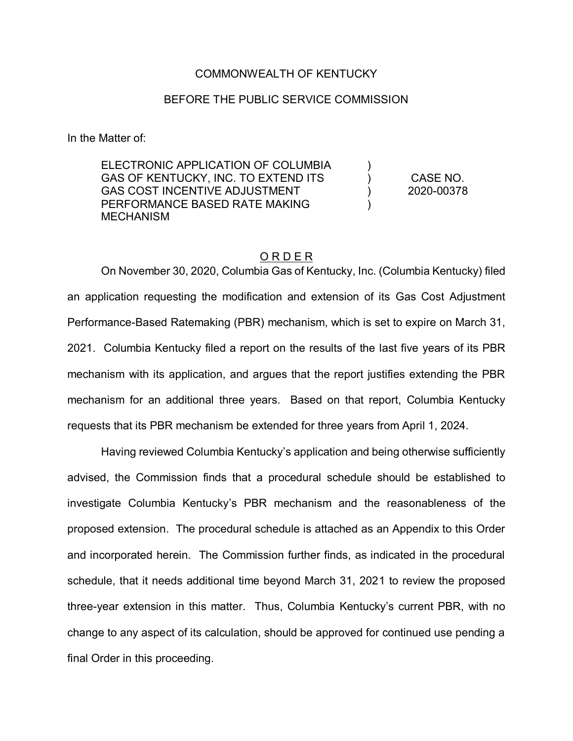#### COMMONWEALTH OF KENTUCKY

### BEFORE THE PUBLIC SERVICE COMMISSION

In the Matter of:

ELECTRONIC APPLICATION OF COLUMBIA GAS OF KENTUCKY, INC. TO EXTEND ITS GAS COST INCENTIVE ADJUSTMENT PERFORMANCE BASED RATE MAKING **MECHANISM**  $\lambda$ )  $\lambda$ ) CASE NO. 2020-00378

### O R D E R

On November 30, 2020, Columbia Gas of Kentucky, Inc. (Columbia Kentucky) filed an application requesting the modification and extension of its Gas Cost Adjustment Performance-Based Ratemaking (PBR) mechanism, which is set to expire on March 31, 2021. Columbia Kentucky filed a report on the results of the last five years of its PBR mechanism with its application, and argues that the report justifies extending the PBR mechanism for an additional three years. Based on that report, Columbia Kentucky requests that its PBR mechanism be extended for three years from April 1, 2024.

Having reviewed Columbia Kentucky's application and being otherwise sufficiently advised, the Commission finds that a procedural schedule should be established to investigate Columbia Kentucky's PBR mechanism and the reasonableness of the proposed extension. The procedural schedule is attached as an Appendix to this Order and incorporated herein. The Commission further finds, as indicated in the procedural schedule, that it needs additional time beyond March 31, 2021 to review the proposed three-year extension in this matter. Thus, Columbia Kentucky's current PBR, with no change to any aspect of its calculation, should be approved for continued use pending a final Order in this proceeding.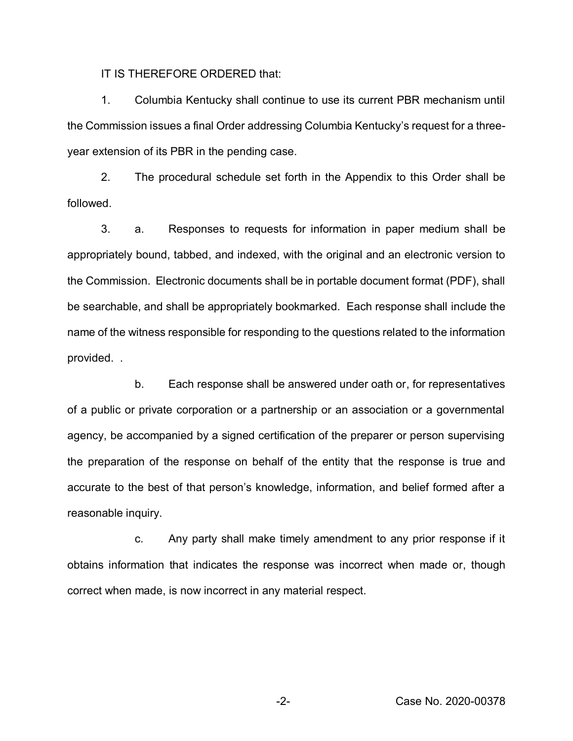IT IS THEREFORE ORDERED that:

1. Columbia Kentucky shall continue to use its current PBR mechanism until the Commission issues a final Order addressing Columbia Kentucky's request for a threeyear extension of its PBR in the pending case.

2. The procedural schedule set forth in the Appendix to this Order shall be followed.

3. a. Responses to requests for information in paper medium shall be appropriately bound, tabbed, and indexed, with the original and an electronic version to the Commission. Electronic documents shall be in portable document format (PDF), shall be searchable, and shall be appropriately bookmarked. Each response shall include the name of the witness responsible for responding to the questions related to the information provided. .

b. Each response shall be answered under oath or, for representatives of a public or private corporation or a partnership or an association or a governmental agency, be accompanied by a signed certification of the preparer or person supervising the preparation of the response on behalf of the entity that the response is true and accurate to the best of that person's knowledge, information, and belief formed after a reasonable inquiry.

c. Any party shall make timely amendment to any prior response if it obtains information that indicates the response was incorrect when made or, though correct when made, is now incorrect in any material respect.

-2- Case No. 2020-00378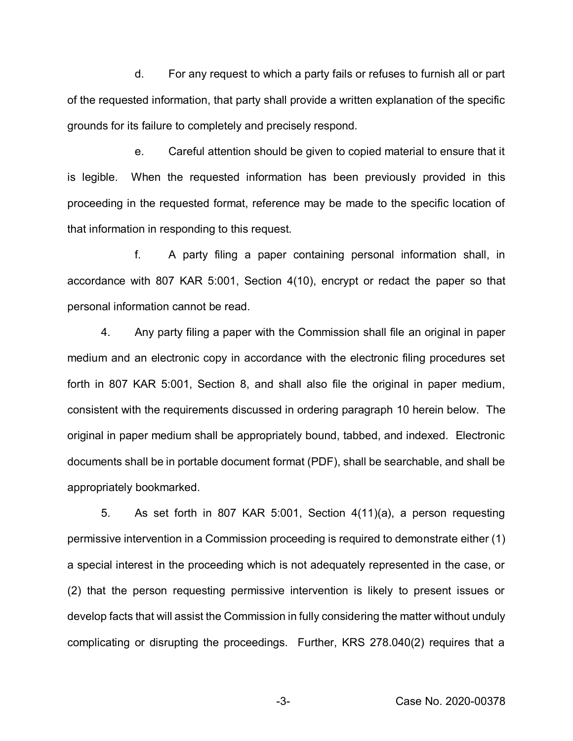d. For any request to which a party fails or refuses to furnish all or part of the requested information, that party shall provide a written explanation of the specific grounds for its failure to completely and precisely respond.

e. Careful attention should be given to copied material to ensure that it is legible. When the requested information has been previously provided in this proceeding in the requested format, reference may be made to the specific location of that information in responding to this request.

f. A party filing a paper containing personal information shall, in accordance with 807 KAR 5:001, Section 4(10), encrypt or redact the paper so that personal information cannot be read.

4. Any party filing a paper with the Commission shall file an original in paper medium and an electronic copy in accordance with the electronic filing procedures set forth in 807 KAR 5:001, Section 8, and shall also file the original in paper medium, consistent with the requirements discussed in ordering paragraph 10 herein below. The original in paper medium shall be appropriately bound, tabbed, and indexed. Electronic documents shall be in portable document format (PDF), shall be searchable, and shall be appropriately bookmarked.

5. As set forth in 807 KAR 5:001, Section 4(11)(a), a person requesting permissive intervention in a Commission proceeding is required to demonstrate either (1) a special interest in the proceeding which is not adequately represented in the case, or (2) that the person requesting permissive intervention is likely to present issues or develop facts that will assist the Commission in fully considering the matter without unduly complicating or disrupting the proceedings. Further, KRS 278.040(2) requires that a

-3- Case No. 2020-00378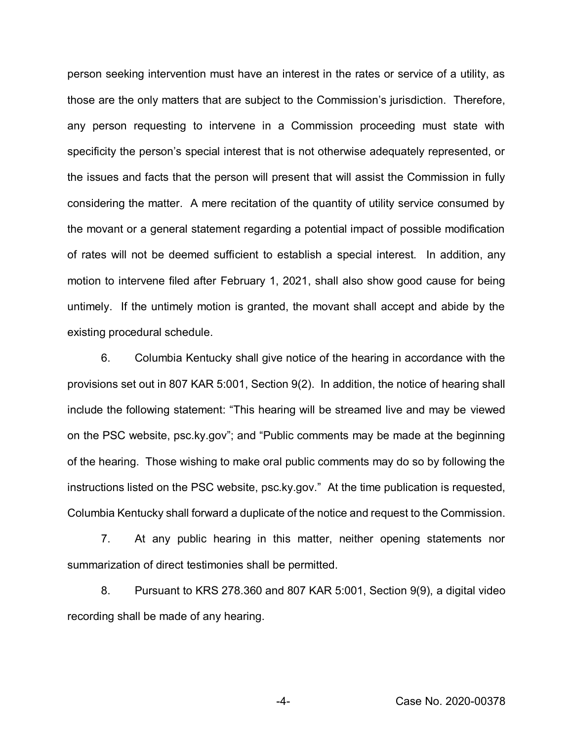person seeking intervention must have an interest in the rates or service of a utility, as those are the only matters that are subject to the Commission's jurisdiction. Therefore, any person requesting to intervene in a Commission proceeding must state with specificity the person's special interest that is not otherwise adequately represented, or the issues and facts that the person will present that will assist the Commission in fully considering the matter. A mere recitation of the quantity of utility service consumed by the movant or a general statement regarding a potential impact of possible modification of rates will not be deemed sufficient to establish a special interest. In addition, any motion to intervene filed after February 1, 2021, shall also show good cause for being untimely. If the untimely motion is granted, the movant shall accept and abide by the existing procedural schedule.

6. Columbia Kentucky shall give notice of the hearing in accordance with the provisions set out in 807 KAR 5:001, Section 9(2). In addition, the notice of hearing shall include the following statement: "This hearing will be streamed live and may be viewed on the PSC website, psc.ky.gov"; and "Public comments may be made at the beginning of the hearing. Those wishing to make oral public comments may do so by following the instructions listed on the PSC website, psc.ky.gov." At the time publication is requested, Columbia Kentucky shall forward a duplicate of the notice and request to the Commission.

7. At any public hearing in this matter, neither opening statements nor summarization of direct testimonies shall be permitted.

8. Pursuant to KRS 278.360 and 807 KAR 5:001, Section 9(9), a digital video recording shall be made of any hearing.

-4- Case No. 2020-00378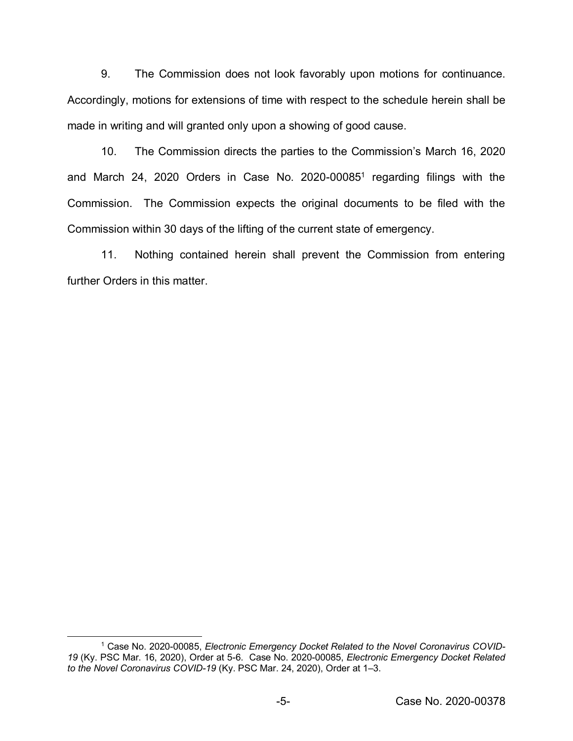9. The Commission does not look favorably upon motions for continuance. Accordingly, motions for extensions of time with respect to the schedule herein shall be made in writing and will granted only upon a showing of good cause.

10. The Commission directs the parties to the Commission's March 16, 2020 and March 24, 2020 Orders in Case No. 2020-00085<sup>1</sup> regarding filings with the Commission. The Commission expects the original documents to be filed with the Commission within 30 days of the lifting of the current state of emergency.

11. Nothing contained herein shall prevent the Commission from entering further Orders in this matter.

 $\overline{a}$ 

<sup>&</sup>lt;sup>1</sup> Case No. 2020-00085, *Electronic Emergency Docket Related to the Novel Coronavirus COVID-19* (Ky. PSC Mar. 16, 2020), Order at 5-6. Case No. 2020-00085, *Electronic Emergency Docket Related to the Novel Coronavirus COVID-19* (Ky. PSC Mar. 24, 2020), Order at 1–3.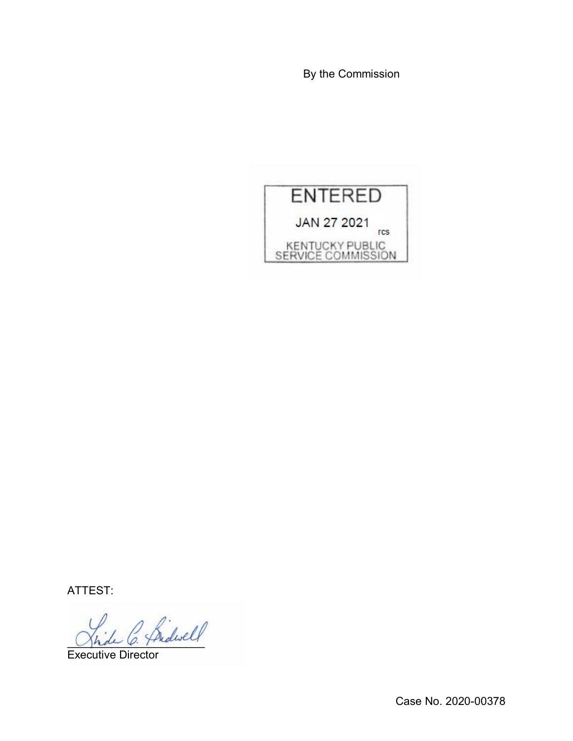By the Commission



ATTEST:

L C. fridwell

Executive Director

Case No. 2020-00378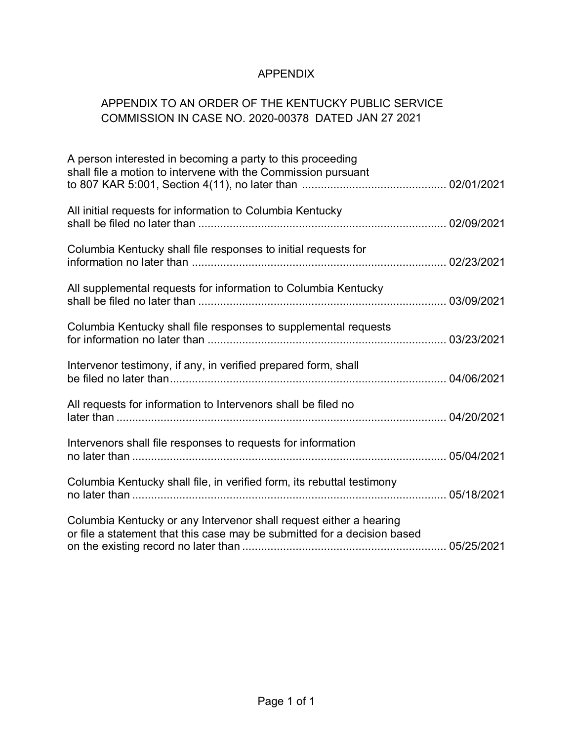# APPENDIX

# APPENDIX TO AN ORDER OF THE KENTUCKY PUBLIC SERVICE COMMISSION IN CASE NO. 2020-00378 DATED JAN 27 2021

| A person interested in becoming a party to this proceeding<br>shall file a motion to intervene with the Commission pursuant                    |  |
|------------------------------------------------------------------------------------------------------------------------------------------------|--|
| All initial requests for information to Columbia Kentucky                                                                                      |  |
| Columbia Kentucky shall file responses to initial requests for                                                                                 |  |
| All supplemental requests for information to Columbia Kentucky                                                                                 |  |
| Columbia Kentucky shall file responses to supplemental requests                                                                                |  |
| Intervenor testimony, if any, in verified prepared form, shall                                                                                 |  |
| All requests for information to Intervenors shall be filed no                                                                                  |  |
| Intervenors shall file responses to requests for information                                                                                   |  |
| Columbia Kentucky shall file, in verified form, its rebuttal testimony                                                                         |  |
| Columbia Kentucky or any Intervenor shall request either a hearing<br>or file a statement that this case may be submitted for a decision based |  |